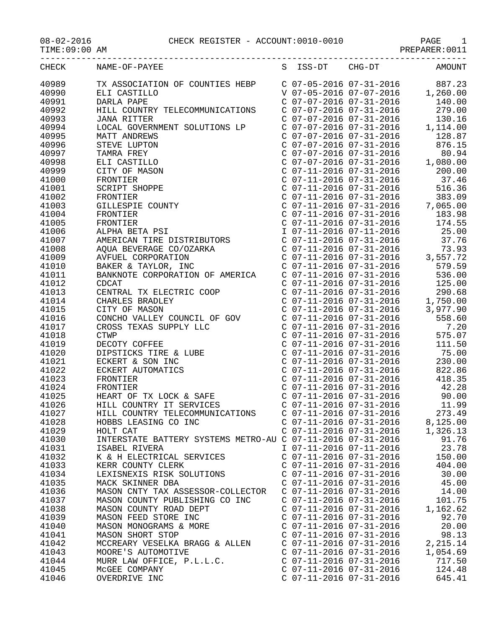08-02-2016 CHECK REGISTER - ACCOUNT:0010-0010 PAGE 1

|                | CHECK NAME-OF-PAYEE<br>S ISS-DT CHG-DT AMOUNT                                                                                                                                                                                                                                                                                                                                                                                                      |                           |                           |          |
|----------------|----------------------------------------------------------------------------------------------------------------------------------------------------------------------------------------------------------------------------------------------------------------------------------------------------------------------------------------------------------------------------------------------------------------------------------------------------|---------------------------|---------------------------|----------|
| 40989          | $\begin{tabular}{l c c c c} \multicolumn{4}{l}{\textbf{NAME}-OF-PAYEE} & \multicolumn{4}{l}{S} & \multicolumn{4}{l}{TS-S-DT} & \multicolumn{4}{l}{CHG-DT} & \multicolumn{4}{l}{AMOUTT} \\ \multicolumn{4}{l}{\textbf{ELI}} & \multicolumn{4}{l}{C} & \multicolumn{4}{l}{C} & \multicolumn{4}{l}{C} & \multicolumn{4}{l}{C} & \multicolumn{4}{l}{C} & \multicolumn{4}{l}{C} & \multicolumn{4}{l}{C} & \multicolumn{4}{l}{C} & \multicolumn{4}{l}{C$ |                           |                           |          |
| 40990          |                                                                                                                                                                                                                                                                                                                                                                                                                                                    |                           |                           |          |
| 40991          |                                                                                                                                                                                                                                                                                                                                                                                                                                                    |                           |                           |          |
| 40992          |                                                                                                                                                                                                                                                                                                                                                                                                                                                    |                           |                           |          |
| 40993          |                                                                                                                                                                                                                                                                                                                                                                                                                                                    |                           |                           |          |
| 40994          |                                                                                                                                                                                                                                                                                                                                                                                                                                                    |                           |                           |          |
| 40995          |                                                                                                                                                                                                                                                                                                                                                                                                                                                    |                           |                           |          |
| 40996          |                                                                                                                                                                                                                                                                                                                                                                                                                                                    |                           |                           |          |
| 40997          |                                                                                                                                                                                                                                                                                                                                                                                                                                                    |                           |                           |          |
| 40998          |                                                                                                                                                                                                                                                                                                                                                                                                                                                    |                           |                           |          |
| 40999          |                                                                                                                                                                                                                                                                                                                                                                                                                                                    |                           |                           |          |
| 41000          |                                                                                                                                                                                                                                                                                                                                                                                                                                                    |                           |                           |          |
| 41001          |                                                                                                                                                                                                                                                                                                                                                                                                                                                    |                           |                           | 516.36   |
| 41002          |                                                                                                                                                                                                                                                                                                                                                                                                                                                    |                           |                           |          |
| 41003          |                                                                                                                                                                                                                                                                                                                                                                                                                                                    |                           |                           |          |
| 41004          |                                                                                                                                                                                                                                                                                                                                                                                                                                                    |                           |                           |          |
| 41005          |                                                                                                                                                                                                                                                                                                                                                                                                                                                    |                           |                           |          |
| 41006          |                                                                                                                                                                                                                                                                                                                                                                                                                                                    |                           |                           |          |
| 41007          |                                                                                                                                                                                                                                                                                                                                                                                                                                                    |                           |                           |          |
| 41008          |                                                                                                                                                                                                                                                                                                                                                                                                                                                    |                           |                           |          |
| 41009          |                                                                                                                                                                                                                                                                                                                                                                                                                                                    |                           |                           |          |
| 41010          |                                                                                                                                                                                                                                                                                                                                                                                                                                                    |                           |                           |          |
| 41011          |                                                                                                                                                                                                                                                                                                                                                                                                                                                    |                           |                           |          |
| 41012          |                                                                                                                                                                                                                                                                                                                                                                                                                                                    |                           |                           |          |
| 41013          |                                                                                                                                                                                                                                                                                                                                                                                                                                                    |                           |                           |          |
| 41014          |                                                                                                                                                                                                                                                                                                                                                                                                                                                    |                           |                           |          |
| 41015          | CDCAT<br>CENTRAL TX ELECTRIC COOP<br>COVERTIG COOP COVERTIL 2016 07-31-2016 125.00<br>CHARLES BRADLEY COOP COVERTIL 2016 07-31-2016 1,750.00<br>CITY OF MASON COUNTY CONTROL CONTROL CONTROL CONTROL CONTROL CONTROL CONTROL CONTROL                                                                                                                                                                                                               |                           |                           |          |
|                |                                                                                                                                                                                                                                                                                                                                                                                                                                                    |                           |                           |          |
| 41016<br>41017 |                                                                                                                                                                                                                                                                                                                                                                                                                                                    |                           |                           |          |
| 41018          |                                                                                                                                                                                                                                                                                                                                                                                                                                                    |                           |                           |          |
| 41019          |                                                                                                                                                                                                                                                                                                                                                                                                                                                    |                           |                           |          |
| 41020          |                                                                                                                                                                                                                                                                                                                                                                                                                                                    |                           |                           |          |
| 41021          |                                                                                                                                                                                                                                                                                                                                                                                                                                                    |                           |                           | 230.00   |
| 41022          |                                                                                                                                                                                                                                                                                                                                                                                                                                                    |                           |                           |          |
| 41023          |                                                                                                                                                                                                                                                                                                                                                                                                                                                    |                           |                           |          |
|                |                                                                                                                                                                                                                                                                                                                                                                                                                                                    |                           |                           |          |
| 41024          |                                                                                                                                                                                                                                                                                                                                                                                                                                                    |                           |                           |          |
| 41025          |                                                                                                                                                                                                                                                                                                                                                                                                                                                    |                           |                           |          |
| 41026          |                                                                                                                                                                                                                                                                                                                                                                                                                                                    |                           |                           |          |
| 41027          | HILL COUNTRY TELECOMMUNICATIONS                                                                                                                                                                                                                                                                                                                                                                                                                    | C 07-11-2016 07-31-2016   |                           | 273.49   |
| 41028          | HOBBS LEASING CO INC                                                                                                                                                                                                                                                                                                                                                                                                                               |                           | $C$ 07-11-2016 07-31-2016 | 8,125.00 |
| 41029          | HOLT CAT                                                                                                                                                                                                                                                                                                                                                                                                                                           | $C$ 07-11-2016 07-31-2016 |                           | 1,326.13 |
| 41030          | INTERSTATE BATTERY SYSTEMS METRO-AU C 07-11-2016 07-31-2016                                                                                                                                                                                                                                                                                                                                                                                        |                           |                           | 91.76    |
| 41031          | ISABEL RIVERA                                                                                                                                                                                                                                                                                                                                                                                                                                      |                           | I 07-11-2016 07-11-2016   | 23.78    |
| 41032          | K & H ELECTRICAL SERVICES                                                                                                                                                                                                                                                                                                                                                                                                                          | $C$ 07-11-2016 07-31-2016 |                           | 150.00   |
| 41033          | KERR COUNTY CLERK                                                                                                                                                                                                                                                                                                                                                                                                                                  | $C$ 07-11-2016 07-31-2016 |                           | 404.00   |
| 41034          | LEXISNEXIS RISK SOLUTIONS                                                                                                                                                                                                                                                                                                                                                                                                                          | $C$ 07-11-2016 07-31-2016 |                           | 30.00    |
| 41035          | MACK SKINNER DBA                                                                                                                                                                                                                                                                                                                                                                                                                                   | C 07-11-2016 07-31-2016   |                           | 45.00    |
| 41036          | MASON CNTY TAX ASSESSOR-COLLECTOR                                                                                                                                                                                                                                                                                                                                                                                                                  | $C$ 07-11-2016 07-31-2016 |                           | 14.00    |
| 41037          | MASON COUNTY PUBLISHING CO INC                                                                                                                                                                                                                                                                                                                                                                                                                     | $C$ 07-11-2016 07-31-2016 |                           | 101.75   |
| 41038          | MASON COUNTY ROAD DEPT                                                                                                                                                                                                                                                                                                                                                                                                                             | $C$ 07-11-2016 07-31-2016 |                           | 1,162.62 |
| 41039          | MASON FEED STORE INC                                                                                                                                                                                                                                                                                                                                                                                                                               | C 07-11-2016 07-31-2016   |                           | 92.70    |
| 41040          | MASON MONOGRAMS & MORE                                                                                                                                                                                                                                                                                                                                                                                                                             | C 07-11-2016 07-31-2016   |                           | 20.00    |
| 41041          | MASON SHORT STOP                                                                                                                                                                                                                                                                                                                                                                                                                                   | $C$ 07-11-2016 07-31-2016 |                           | 98.13    |
| 41042          | MCCREARY VESELKA BRAGG & ALLEN                                                                                                                                                                                                                                                                                                                                                                                                                     | $C$ 07-11-2016 07-31-2016 |                           | 2,215.14 |
| 41043          | MOORE'S AUTOMOTIVE                                                                                                                                                                                                                                                                                                                                                                                                                                 | $C$ 07-11-2016 07-31-2016 |                           | 1,054.69 |
| 41044          | MURR LAW OFFICE, P.L.L.C.                                                                                                                                                                                                                                                                                                                                                                                                                          | $C$ 07-11-2016 07-31-2016 |                           | 717.50   |
| 41045          | MCGEE COMPANY                                                                                                                                                                                                                                                                                                                                                                                                                                      | $C$ 07-11-2016 07-31-2016 |                           | 124.48   |
| 41046          | OVERDRIVE INC                                                                                                                                                                                                                                                                                                                                                                                                                                      | $C$ 07-11-2016 07-31-2016 |                           | 645.41   |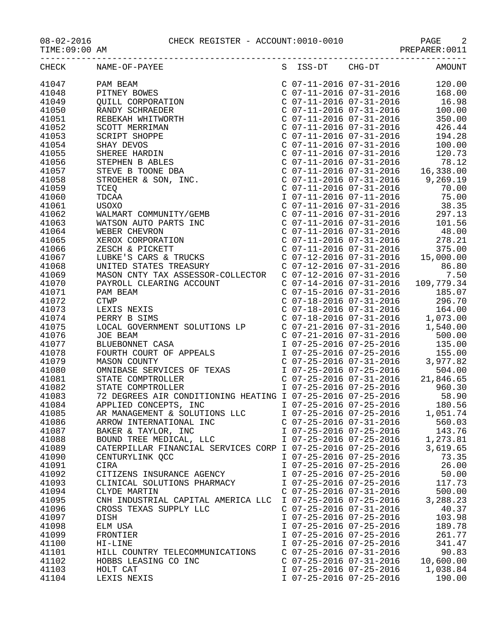|       | CHECK NAME-OF-PAYEE                                         |                           |                         | S ISS-DT CHG-DT AMOUNT |
|-------|-------------------------------------------------------------|---------------------------|-------------------------|------------------------|
| 41047 |                                                             |                           |                         |                        |
| 41048 |                                                             |                           |                         |                        |
| 41049 |                                                             |                           |                         |                        |
| 41050 |                                                             |                           |                         |                        |
| 41051 |                                                             |                           |                         |                        |
| 41052 |                                                             |                           |                         |                        |
| 41053 |                                                             |                           |                         |                        |
| 41054 |                                                             |                           |                         |                        |
| 41055 |                                                             |                           |                         |                        |
| 41056 |                                                             |                           |                         |                        |
| 41057 |                                                             |                           |                         |                        |
| 41058 |                                                             |                           |                         |                        |
| 41059 |                                                             |                           |                         |                        |
| 41060 |                                                             |                           |                         |                        |
| 41061 |                                                             |                           |                         |                        |
| 41062 |                                                             |                           |                         |                        |
| 41063 |                                                             |                           |                         |                        |
| 41064 |                                                             |                           |                         |                        |
| 41065 |                                                             |                           |                         |                        |
| 41066 |                                                             |                           |                         |                        |
| 41067 |                                                             |                           |                         |                        |
| 41068 |                                                             |                           |                         |                        |
| 41069 |                                                             |                           |                         |                        |
| 41070 |                                                             |                           |                         |                        |
| 41071 |                                                             |                           |                         |                        |
| 41072 |                                                             |                           |                         |                        |
| 41073 |                                                             |                           |                         |                        |
| 41074 |                                                             |                           |                         |                        |
| 41075 |                                                             |                           |                         |                        |
| 41076 |                                                             |                           |                         |                        |
| 41077 |                                                             |                           |                         |                        |
| 41078 |                                                             |                           |                         |                        |
| 41079 |                                                             |                           |                         |                        |
| 41080 |                                                             |                           |                         |                        |
| 41081 |                                                             |                           |                         |                        |
| 41082 |                                                             |                           |                         |                        |
| 41083 |                                                             |                           |                         |                        |
| 41084 | APPLIED CONCEPTS, INC<br>AR MANAGEMENT & SOLUTIONS LLC      |                           |                         |                        |
| 41085 |                                                             |                           | I 07-25-2016 07-25-2016 | 1,051.74               |
| 41086 | ARROW INTERNATIONAL INC                                     | $C$ 07-25-2016 07-31-2016 |                         | 560.03                 |
| 41087 | BAKER & TAYLOR, INC                                         | I 07-25-2016 07-25-2016   |                         | 143.76                 |
| 41088 | BOUND TREE MEDICAL, LLC                                     | I 07-25-2016 07-25-2016   |                         | 1,273.81               |
| 41089 | CATERPILLAR FINANCIAL SERVICES CORP I 07-25-2016 07-25-2016 |                           |                         | 3,619.65               |
| 41090 | CENTURYLINK QCC                                             | I 07-25-2016 07-25-2016   |                         | 73.35                  |
| 41091 | CIRA                                                        | I 07-25-2016 07-25-2016   |                         | 26.00                  |
| 41092 | CITIZENS INSURANCE AGENCY                                   | I 07-25-2016 07-25-2016   |                         | 50.00                  |
| 41093 | CLINICAL SOLUTIONS PHARMACY                                 | I 07-25-2016 07-25-2016   |                         | 117.73                 |
| 41094 | CLYDE MARTIN                                                | $C$ 07-25-2016 07-31-2016 |                         | 500.00                 |
| 41095 | CNH INDUSTRIAL CAPITAL AMERICA LLC                          | I 07-25-2016 07-25-2016   |                         | 3,288.23               |
| 41096 | CROSS TEXAS SUPPLY LLC                                      | $C$ 07-25-2016 07-31-2016 |                         | 40.37                  |
| 41097 | DISH                                                        | I 07-25-2016 07-25-2016   |                         | 103.98                 |
| 41098 | ELM USA                                                     | I 07-25-2016 07-25-2016   |                         | 189.78                 |
| 41099 | FRONTIER                                                    | I 07-25-2016 07-25-2016   |                         | 261.77                 |
| 41100 | HI-LINE                                                     | I 07-25-2016 07-25-2016   |                         | 341.47                 |
| 41101 | HILL COUNTRY TELECOMMUNICATIONS                             | $C$ 07-25-2016 07-31-2016 |                         | 90.83                  |
| 41102 | HOBBS LEASING CO INC                                        | $C$ 07-25-2016 07-31-2016 |                         | 10,600.00              |
| 41103 | HOLT CAT                                                    | I 07-25-2016 07-25-2016   |                         | 1,038.84               |

41104 LEXIS NEXIS I 07-25-2016 07-25-2016 190.00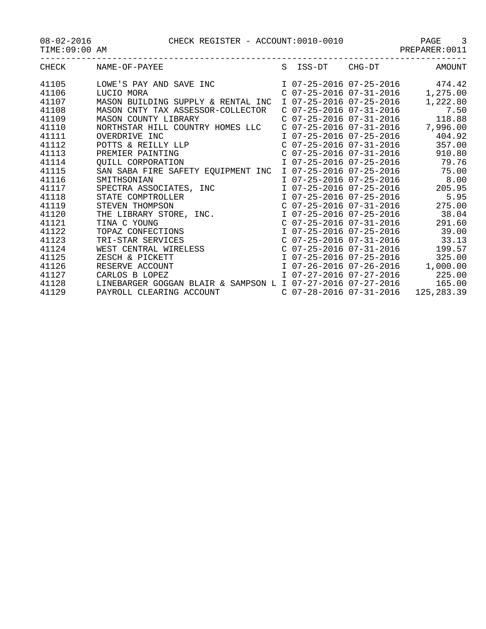08-02-2016 CHECK REGISTER - ACCOUNT:0010-0010 PAGE 3 -----------------------------------------------------------------------------------

| $08 - 02 - 2016$ |  |
|------------------|--|
|------------------|--|

TIME:09:00 AM PREPARER:0011

|  |  |  |  |  |  |  |  | AMOUNT |  |
|--|--|--|--|--|--|--|--|--------|--|

| CHECK | NAME-OF-PAYEE                                                                     |                         | S ISS-DT CHG-DT           | AMOUNT                             |
|-------|-----------------------------------------------------------------------------------|-------------------------|---------------------------|------------------------------------|
| 41105 | LOWE'S PAY AND SAVE INC                                                           |                         |                           | I 07-25-2016 07-25-2016 474.42     |
| 41106 | LUCIO MORA                                                                        |                         | C 07-25-2016 07-31-2016   | 1,275.00                           |
| 41107 | MASON BUILDING SUPPLY & RENTAL INC                                                | I 07-25-2016 07-25-2016 |                           | 1,222.80                           |
| 41108 | MASON CNTY TAX ASSESSOR-COLLECTOR                                                 |                         | $C$ 07-25-2016 07-31-2016 | 7.50                               |
| 41109 | MASON COUNTY LIBRARY                                                              |                         | C 07-25-2016 07-31-2016   | 118.88                             |
| 41110 | NORTHSTAR HILL COUNTRY HOMES LLC                                                  |                         | C 07-25-2016 07-31-2016   | 7,996.00                           |
| 41111 | OVERDRIVE INC                                                                     |                         | I 07-25-2016 07-25-2016   | 404.92                             |
| 41112 | OVERDRIVE INC<br>POTTS & REILLY LLP<br>PREMIER PAINTING                           |                         | $C$ 07-25-2016 07-31-2016 | 357.00                             |
| 41113 |                                                                                   |                         | $C$ 07-25-2016 07-31-2016 | 910.80                             |
| 41114 | QUILL CORPORATION                                                                 |                         |                           | I 07-25-2016 07-25-2016 79.76      |
| 41115 | SAN SABA FIRE SAFETY EQUIPMENT INC                                                |                         |                           | I 07-25-2016 07-25-2016 75.00      |
| 41116 | SMITHSONIAN                                                                       |                         |                           | I 07-25-2016 07-25-2016 8.00       |
| 41117 | SPECTRA ASSOCIATES, INC                                                           |                         | I 07-25-2016 07-25-2016   | 205.95                             |
| 41118 | STATE COMPTROLLER                                                                 |                         | I 07-25-2016 07-25-2016   | 5.95                               |
| 41119 | STEVEN THOMPSON                                                                   |                         | C 07-25-2016 07-31-2016   | 275.00                             |
| 41120 | THE LIBRARY STORE, INC.<br>TINA C YOUNG<br>TOPAZ CONFECTIONS<br>TRI-STAR SERVICES |                         | I 07-25-2016 07-25-2016   | 38.04                              |
| 41121 |                                                                                   |                         | C 07-25-2016 07-31-2016   | 291.60                             |
| 41122 |                                                                                   |                         |                           | I 07-25-2016 07-25-2016 39.00      |
| 41123 |                                                                                   |                         |                           | $C$ 07-25-2016 07-31-2016 33.13    |
| 41124 | WEST CENTRAL WIRELESS<br>ZESCH & PICKETT<br>RESERVE ACCOUNT                       |                         | C 07-25-2016 07-31-2016   | 199.57                             |
| 41125 |                                                                                   |                         | I 07-25-2016 07-25-2016   | 325.00                             |
| 41126 |                                                                                   |                         |                           | $I$ 07-26-2016 07-26-2016 1,000.00 |
| 41127 | CARLOS B LOPEZ                                                                    |                         | I 07-27-2016 07-27-2016   | 225.00                             |
| 41128 | LINEBARGER GOGGAN BLAIR & SAMPSON L I 07-27-2016 07-27-2016                       |                         |                           | 165.00                             |
| 41129 | PAYROLL CLEARING ACCOUNT C 07-28-2016 07-31-2016                                  |                         |                           | 125,283.39                         |